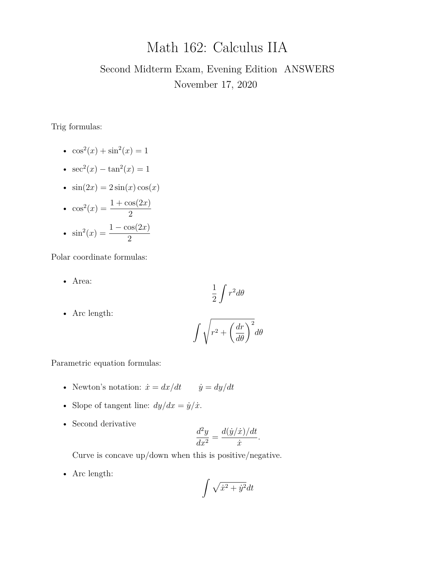# Math 162: Calculus IIA

# Second Midterm Exam, Evening Edition ANSWERS November 17, 2020

Trig formulas:

- $\cos^2(x) + \sin^2(x) = 1$
- $sec^2(x) tan^2(x) = 1$
- $\sin(2x) = 2\sin(x)\cos(x)$
- $\cos^2(x) = \frac{1 + \cos(2x)}{2}$ 2 •  $\sin^2(x) = \frac{1 - \cos(2x)}{2}$ 2

Polar coordinate formulas:

• Area:

$$
\frac{1}{2}\int r^2 d\theta
$$

• Arc length:

$$
\int \sqrt{r^2 + \left(\frac{dr}{d\theta}\right)^2} d\theta
$$

Parametric equation formulas:

- Newton's notation:  $\dot{x} = dx/dt$   $\dot{y} = dy/dt$
- Slope of tangent line:  $dy/dx = \dot{y}/\dot{x}$ .
- Second derivative

$$
\frac{d^2y}{dx^2} = \frac{d(\dot{y}/\dot{x})/dt}{\dot{x}}.
$$

Curve is concave up/down when this is positive/negative.

• Arc length:

$$
\int \sqrt{\dot{x}^2 + \dot{y}^2} dt
$$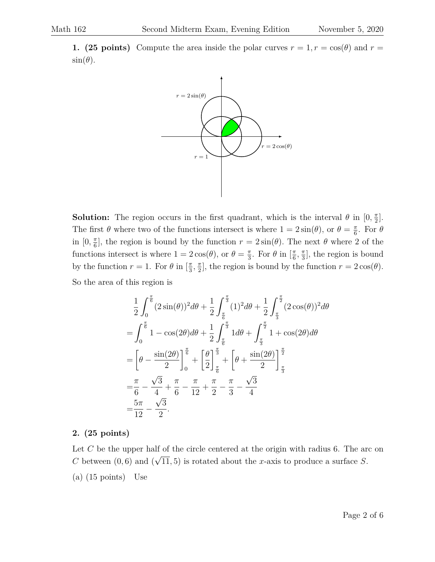**1. (25 points)** Compute the area inside the polar curves  $r = 1, r = \cos(\theta)$  and  $r =$  $\sin(\theta)$ .



**Solution:** The region occurs in the first quadrant, which is the interval  $\theta$  in  $[0, \frac{\pi}{2}]$  $\frac{\pi}{2}$ . The first  $\theta$  where two of the functions intersect is where  $1 = 2\sin(\theta)$ , or  $\theta = \frac{\pi}{6}$  $\frac{\pi}{6}$ . For  $\theta$ in  $[0, \frac{\pi}{6}]$  $\frac{\pi}{6}$ , the region is bound by the function  $r = 2\sin(\theta)$ . The next  $\theta$  where 2 of the functions intersect is where  $1 = 2\cos(\theta)$ , or  $\theta = \frac{\pi}{3}$  $\frac{\pi}{3}$ . For  $\theta$  in  $\left[\frac{\pi}{6}\right]$  $\frac{\pi}{6}, \frac{\pi}{3}$  $\frac{\pi}{3}$ , the region is bound by the function  $r = 1$ . For  $\theta$  in  $\left[\frac{\pi}{3}\right]$  $\frac{\pi}{3}, \frac{\pi}{2}$  $\frac{\pi}{2}$ , the region is bound by the function  $r = 2\cos(\theta)$ . So the area of this region is

$$
\frac{1}{2} \int_0^{\frac{\pi}{6}} (2\sin(\theta))^2 d\theta + \frac{1}{2} \int_{\frac{\pi}{6}}^{\frac{\pi}{3}} (1)^2 d\theta + \frac{1}{2} \int_{\frac{\pi}{3}}^{\frac{\pi}{2}} (2\cos(\theta))^2 d\theta
$$

$$
= \int_0^{\frac{\pi}{6}} 1 - \cos(2\theta) d\theta + \frac{1}{2} \int_{\frac{\pi}{6}}^{\frac{\pi}{3}} 1 d\theta + \int_{\frac{\pi}{3}}^{\frac{\pi}{2}} 1 + \cos(2\theta) d\theta
$$

$$
= \left[\theta - \frac{\sin(2\theta)}{2}\right]_0^{\frac{\pi}{6}} + \left[\frac{\theta}{2}\right]_{\frac{\pi}{6}}^{\frac{\pi}{3}} + \left[\theta + \frac{\sin(2\theta)}{2}\right]_{\frac{\pi}{3}}^{\frac{\pi}{2}}
$$

$$
= \frac{\pi}{6} - \frac{\sqrt{3}}{4} + \frac{\pi}{6} - \frac{\pi}{12} + \frac{\pi}{2} - \frac{\pi}{3} - \frac{\sqrt{3}}{4}
$$

$$
= \frac{5\pi}{12} - \frac{\sqrt{3}}{2}.
$$

# **2. (25 points)**

Let  $C$  be the upper half of the circle centered at the origin with radius 6. The arc on C between  $(0, 6)$  and  $($ √  $(11, 5)$  is rotated about the x-axis to produce a surface S. (a) (15 points) Use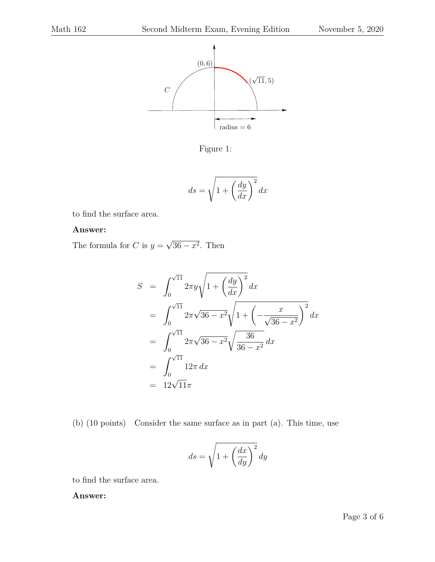

Figure 1:

$$
ds = \sqrt{1 + \left(\frac{dy}{dx}\right)^2} dx
$$

to find the surface area.

### **Answer:**

The formula for C is  $y =$ √  $36 - x^2$ . Then

$$
S = \int_0^{\sqrt{11}} 2\pi y \sqrt{1 + \left(\frac{dy}{dx}\right)^2} dx
$$
  
= 
$$
\int_0^{\sqrt{11}} 2\pi \sqrt{36 - x^2} \sqrt{1 + \left(-\frac{x}{\sqrt{36 - x^2}}\right)^2} dx
$$
  
= 
$$
\int_0^{\sqrt{11}} 2\pi \sqrt{36 - x^2} \sqrt{\frac{36}{36 - x^2}} dx
$$
  
= 
$$
\int_0^{\sqrt{11}} 12\pi dx
$$
  
= 
$$
12\sqrt{11}\pi
$$

(b) (10 points) Consider the same surface as in part (a). This time, use

$$
ds = \sqrt{1 + \left(\frac{dx}{dy}\right)^2} dy
$$

to find the surface area.

### **Answer:**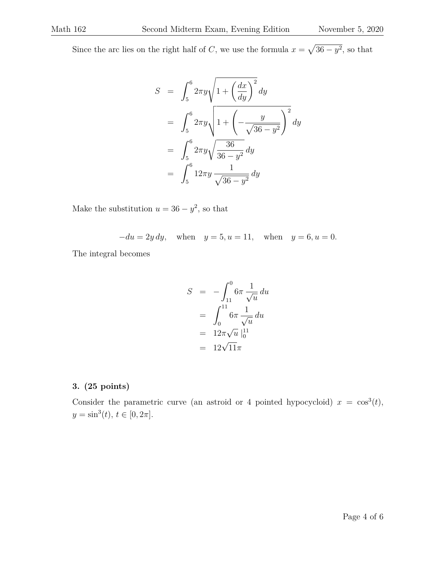Since the arc lies on the right half of C, we use the formula  $x = \sqrt{36 - y^2}$ , so that

$$
S = \int_5^6 2\pi y \sqrt{1 + \left(\frac{dx}{dy}\right)^2} dy
$$
  
= 
$$
\int_5^6 2\pi y \sqrt{1 + \left(-\frac{y}{\sqrt{36 - y^2}}\right)^2} dy
$$
  
= 
$$
\int_5^6 2\pi y \sqrt{\frac{36}{36 - y^2}} dy
$$
  
= 
$$
\int_5^6 12\pi y \frac{1}{\sqrt{36 - y^2}} dy
$$

Make the substitution  $u = 36 - y^2$ , so that

$$
-du = 2y \, dy, \quad \text{when} \quad y = 5, u = 11, \quad \text{when} \quad y = 6, u = 0.
$$

The integral becomes

$$
S = -\int_{11}^{0} 6\pi \frac{1}{\sqrt{u}} du
$$
  
=  $\int_{0}^{11} 6\pi \frac{1}{\sqrt{u}} du$   
=  $12\pi \sqrt{u} \Big|_{0}^{11}$   
=  $12\sqrt{11}\pi$ 

### **3. (25 points)**

Consider the parametric curve (an astroid or 4 pointed hypocycloid)  $x = \cos^3(t)$ ,  $y = \sin^3(t), t \in [0, 2\pi].$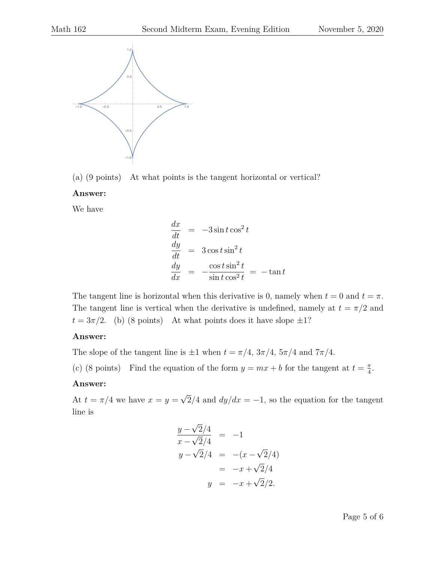

(a) (9 points) At what points is the tangent horizontal or vertical?

#### **Answer:**

We have

$$
\begin{array}{rcl}\n\frac{dx}{dt} & = & -3\sin t \cos^2 t \\
\frac{dy}{dt} & = & 3\cos t \sin^2 t \\
\frac{dy}{dx} & = & -\frac{\cos t \sin^2 t}{\sin t \cos^2 t} = & -\tan t\n\end{array}
$$

The tangent line is horizontal when this derivative is 0, namely when  $t = 0$  and  $t = \pi$ . The tangent line is vertical when the derivative is undefined, namely at  $t = \pi/2$  and  $t = 3\pi/2$ . (b) (8 points) At what points does it have slope  $\pm 1$ ?

#### **Answer:**

The slope of the tangent line is  $\pm 1$  when  $t = \pi/4$ ,  $3\pi/4$ ,  $5\pi/4$  and  $7\pi/4$ .

(c) (8 points) Find the equation of the form  $y = mx + b$  for the tangent at  $t = \frac{\pi}{4}$  $\frac{\pi}{4}$ .

#### **Answer:**

At  $t = \pi/4$  we have  $x = y =$ √  $2/4$  and  $dy/dx = -1$ , so the equation for the tangent line is

$$
\frac{y - \sqrt{2}/4}{x - \sqrt{2}/4} = -1
$$
  
\n
$$
y - \sqrt{2}/4 = -(x - \sqrt{2}/4)
$$
  
\n
$$
= -x + \sqrt{2}/4
$$
  
\n
$$
y = -x + \sqrt{2}/2.
$$